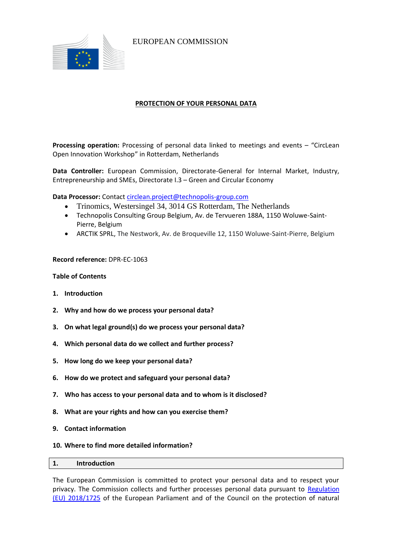

EUROPEAN COMMISSION

# **PROTECTION OF YOUR PERSONAL DATA**

**Processing operation:** Processing of personal data linked to meetings and events – "CircLean Open Innovation Workshop" in Rotterdam, Netherlands

**Data Controller:** European Commission, Directorate-General for Internal Market, Industry, Entrepreneurship and SMEs, Directorate I.3 – Green and Circular Economy

**Data Processor:** Contac[t circlean.project@technopolis-group.com](mailto:circlean.project@technopolis-group.com)

- Trinomics, Westersingel 34, 3014 GS Rotterdam, The Netherlands
- Technopolis Consulting Group Belgium, Av. de Tervueren 188A, 1150 Woluwe-Saint-Pierre, Belgium
- ARCTIK SPRL, The Nestwork, Av. de Broqueville 12, 1150 Woluwe-Saint-Pierre, Belgium

## **Record reference:** DPR-EC-1063

## **Table of Contents**

- **1. Introduction**
- **2. Why and how do we process your personal data?**
- **3. On what legal ground(s) do we process your personal data?**
- **4. Which personal data do we collect and further process?**
- **5. How long do we keep your personal data?**
- **6. How do we protect and safeguard your personal data?**
- **7. Who has access to your personal data and to whom is it disclosed?**
- **8. What are your rights and how can you exercise them?**
- **9. Contact information**
- **10. Where to find more detailed information?**

| 1. | Introduction |  |  |  |  |
|----|--------------|--|--|--|--|
|----|--------------|--|--|--|--|

The European Commission is committed to protect your personal data and to respect your privacy. The Commission collects and further processes personal data pursuant to [Regulation](https://eur-lex.europa.eu/legal-content/EN/TXT/?uri=uriserv:OJ.L_.2018.295.01.0039.01.ENG&toc=OJ:L:2018:295:TOC)  [\(EU\) 2018/1725](https://eur-lex.europa.eu/legal-content/EN/TXT/?uri=uriserv:OJ.L_.2018.295.01.0039.01.ENG&toc=OJ:L:2018:295:TOC) of the European Parliament and of the Council on the protection of natural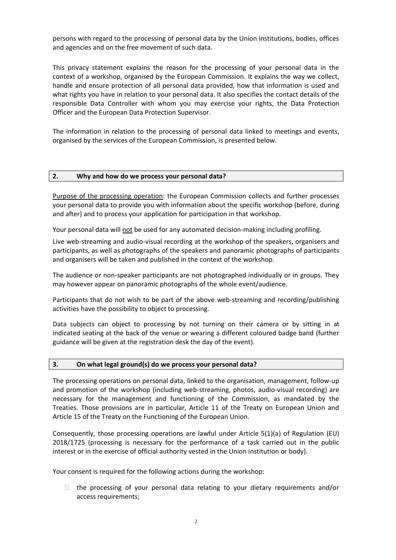persons with regard to the processing of personal data by the Union institutions, bodies, offices and agencies and on the free movement of such data.

This privacy statement explains the reason for the processing of your personal data in the context of a workshop, organised by the European Commission. It explains the way we collect, handle and ensure protection of all personal data provided, how that information is used and what rights you have in relation to your personal data. It also specifies the contact details of the responsible Data Controller with whom you may exercise your rights, the Data Protection Officer and the European Data Protection Supervisor.

The information in relation to the processing of personal data linked to meetings and events, organised by the services of the European Commission, is presented below.

## **2. Why and how do we process your personal data?**

Purpose of the processing operation: the European Commission collects and further processes your personal data to provide you with information about the specific workshop (before, during and after) and to process your application for participation in that workshop.

Your personal data will not be used for any automated decision-making including profiling.

Live web-streaming and audio-visual recording at the workshop of the speakers, organisers and participants, as well as photographs of the speakers and panoramic photographs of participants and organisers will be taken and published in the context of the workshop.

The audience or non-speaker participants are not photographed individually or in groups. They may however appear on panoramic photographs of the whole event/audience.

Participants that do not wish to be part of the above web-streaming and recording/publishing activities have the possibility to object to processing.

Data subjects can object to processing by not turning on their camera or by sitting in at indicated seating at the back of the venue or wearing a different coloured badge band (further guidance will be given at the registration desk the day of the event).

#### **3. On what legal ground(s) do we process your personal data?**

The processing operations on personal data, linked to the organisation, management, follow-up and promotion of the workshop (including web-streaming, photos, audio-visual recording) are necessary for the management and functioning of the Commission, as mandated by the Treaties. Those provisions are in particular, Article 11 of the Treaty on European Union and Article 15 of the Treaty on the Functioning of the European Union.

Consequently, those processing operations are lawful under Article 5(1)(a) of Regulation (EU) 2018/1725 (processing is necessary for the performance of a task carried out in the public interest or in the exercise of official authority vested in the Union institution or body).

Your consent is required for the following actions during the workshop:

 $\Box$  the processing of your personal data relating to your dietary requirements and/or access requirements;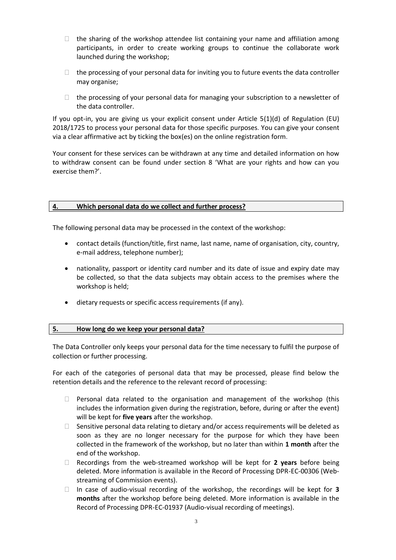- $\Box$  the sharing of the workshop attendee list containing your name and affiliation among participants, in order to create working groups to continue the collaborate work launched during the workshop;
- $\Box$  the processing of your personal data for inviting you to future events the data controller may organise;
- $\Box$  the processing of your personal data for managing your subscription to a newsletter of the data controller.

If you opt-in, you are giving us your explicit consent under Article 5(1)(d) of Regulation (EU) 2018/1725 to process your personal data for those specific purposes. You can give your consent via a clear affirmative act by ticking the box(es) on the online registration form.

Your consent for these services can be withdrawn at any time and detailed information on how to withdraw consent can be found under section 8 'What are your rights and how can you exercise them?'.

# **4. Which personal data do we collect and further process?**

The following personal data may be processed in the context of the workshop:

- contact details (function/title, first name, last name, name of organisation, city, country, e-mail address, telephone number);
- nationality, passport or identity card number and its date of issue and expiry date may be collected, so that the data subjects may obtain access to the premises where the workshop is held;
- dietary requests or specific access requirements (if any).

## **5. How long do we keep your personal data?**

The Data Controller only keeps your personal data for the time necessary to fulfil the purpose of collection or further processing.

For each of the categories of personal data that may be processed, please find below the retention details and the reference to the relevant record of processing:

- $\Box$  Personal data related to the organisation and management of the workshop (this includes the information given during the registration, before, during or after the event) will be kept for **five years** after the workshop.
- $\Box$  Sensitive personal data relating to dietary and/or access requirements will be deleted as soon as they are no longer necessary for the purpose for which they have been collected in the framework of the workshop, but no later than within **1 month** after the end of the workshop.
- Recordings from the web-streamed workshop will be kept for **2 years** before being deleted. More information is available in the Record of Processing DPR-EC-00306 (Webstreaming of Commission events).
- In case of audio-visual recording of the workshop, the recordings will be kept for **3 months** after the workshop before being deleted. More information is available in the Record of Processing DPR-EC-01937 (Audio-visual recording of meetings).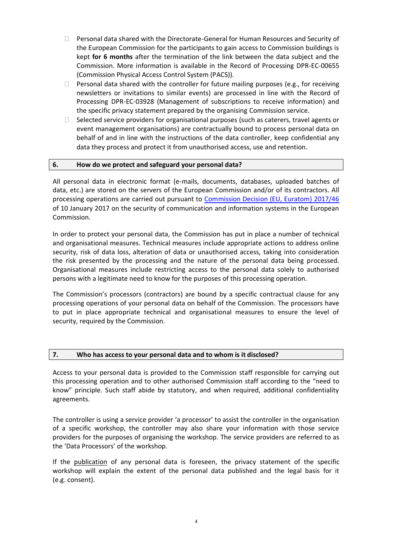- $\Box$  Personal data shared with the Directorate-General for Human Resources and Security of the European Commission for the participants to gain access to Commission buildings is kept **for 6 months** after the termination of the link between the data subject and the Commission. More information is available in the Record of Processing DPR-EC-00655 (Commission Physical Access Control System (PACS)).
- $\Box$  Personal data shared with the controller for future mailing purposes (e.g., for receiving newsletters or invitations to similar events) are processed in line with the Record of Processing DPR-EC-03928 (Management of subscriptions to receive information) and the specific privacy statement prepared by the organising Commission service.
- $\Box$  Selected service providers for organisational purposes (such as caterers, travel agents or event management organisations) are contractually bound to process personal data on behalf of and in line with the instructions of the data controller, keep confidential any data they process and protect it from unauthorised access, use and retention.

## **6. How do we protect and safeguard your personal data?**

All personal data in electronic format (e-mails, documents, databases, uploaded batches of data, etc.) are stored on the servers of the European Commission and/or of its contractors. All processing operations are carried out pursuant to [Commission Decision \(EU, Euratom\) 2017/46](https://eur-lex.europa.eu/legal-content/EN/TXT/?qid=1548093747090&uri=CELEX:32017D0046) of 10 January 2017 on the security of communication and information systems in the European Commission.

In order to protect your personal data, the Commission has put in place a number of technical and organisational measures. Technical measures include appropriate actions to address online security, risk of data loss, alteration of data or unauthorised access, taking into consideration the risk presented by the processing and the nature of the personal data being processed. Organisational measures include restricting access to the personal data solely to authorised persons with a legitimate need to know for the purposes of this processing operation.

The Commission's processors (contractors) are bound by a specific contractual clause for any processing operations of your personal data on behalf of the Commission. The processors have to put in place appropriate technical and organisational measures to ensure the level of security, required by the Commission.

#### **7. Who has access to your personal data and to whom is it disclosed?**

Access to your personal data is provided to the Commission staff responsible for carrying out this processing operation and to other authorised Commission staff according to the "need to know" principle. Such staff abide by statutory, and when required, additional confidentiality agreements.

The controller is using a service provider 'a processor' to assist the controller in the organisation of a specific workshop, the controller may also share your information with those service providers for the purposes of organising the workshop. The service providers are referred to as the 'Data Processors' of the workshop.

If the publication of any personal data is foreseen, the privacy statement of the specific workshop will explain the extent of the personal data published and the legal basis for it (e.g. consent).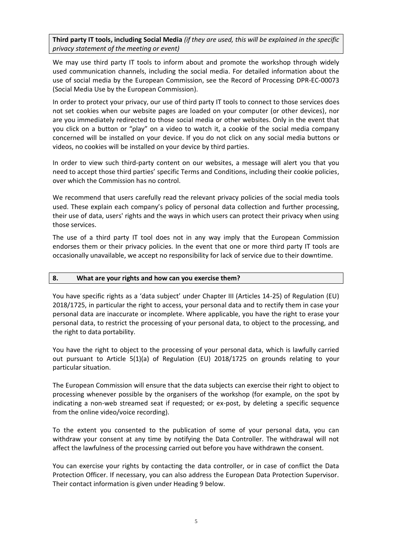**Third party IT tools, including Social Media** *(if they are used, this will be explained in the specific privacy statement of the meeting or event)*

We may use third party IT tools to inform about and promote the workshop through widely used communication channels, including the social media. For detailed information about the use of social media by the European Commission, see the Record of Processing DPR-EC-00073 (Social Media Use by the European Commission).

In order to protect your privacy, our use of third party IT tools to connect to those services does not set cookies when our website pages are loaded on your computer (or other devices), nor are you immediately redirected to those social media or other websites. Only in the event that you click on a button or "play" on a video to watch it, a cookie of the social media company concerned will be installed on your device. If you do not click on any social media buttons or videos, no cookies will be installed on your device by third parties.

In order to view such third-party content on our websites, a message will alert you that you need to accept those third parties' specific Terms and Conditions, including their cookie policies, over which the Commission has no control.

We recommend that users carefully read the relevant privacy policies of the social media tools used. These explain each company's policy of personal data collection and further processing, their use of data, users' rights and the ways in which users can protect their privacy when using those services.

The use of a third party IT tool does not in any way imply that the European Commission endorses them or their privacy policies. In the event that one or more third party IT tools are occasionally unavailable, we accept no responsibility for lack of service due to their downtime.

#### **8. What are your rights and how can you exercise them?**

You have specific rights as a 'data subject' under Chapter III (Articles 14-25) of Regulation (EU) 2018/1725, in particular the right to access, your personal data and to rectify them in case your personal data are inaccurate or incomplete. Where applicable, you have the right to erase your personal data, to restrict the processing of your personal data, to object to the processing, and the right to data portability.

You have the right to object to the processing of your personal data, which is lawfully carried out pursuant to Article 5(1)(a) of Regulation (EU) 2018/1725 on grounds relating to your particular situation.

The European Commission will ensure that the data subjects can exercise their right to object to processing whenever possible by the organisers of the workshop (for example, on the spot by indicating a non-web streamed seat if requested; or ex-post, by deleting a specific sequence from the online video/voice recording).

To the extent you consented to the publication of some of your personal data, you can withdraw your consent at any time by notifying the Data Controller. The withdrawal will not affect the lawfulness of the processing carried out before you have withdrawn the consent.

You can exercise your rights by contacting the data controller, or in case of conflict the Data Protection Officer. If necessary, you can also address the European Data Protection Supervisor. Their contact information is given under Heading 9 below.